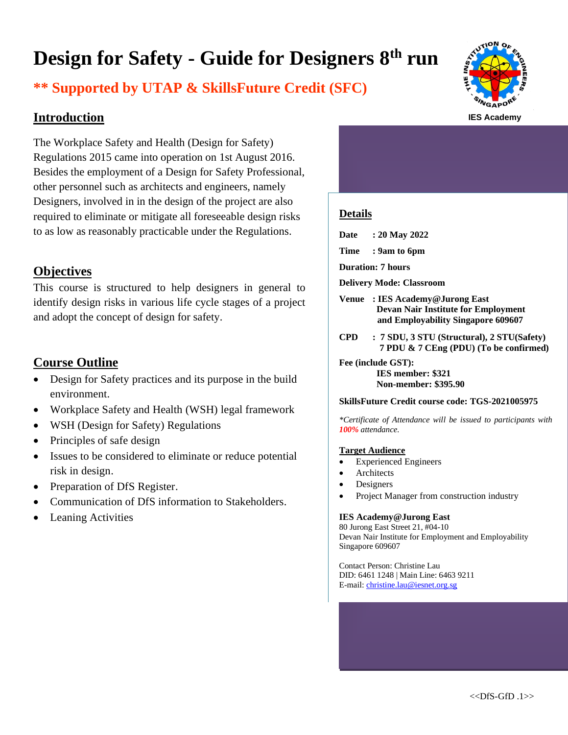# **Design for Safety - Guide for Designers 8 th run**

# **\*\* Supported by UTAP & SkillsFuture Credit (SFC)**

# **Introduction**

The Workplace Safety and Health (Design for Safety) Regulations 2015 came into operation on 1st August 2016. Besides the employment of a Design for Safety Professional, other personnel such as architects and engineers, namely Designers, involved in in the design of the project are also required to eliminate or mitigate all foreseeable design risks to as low as reasonably practicable under the Regulations.

# **Objectives**

This course is structured to help designers in general to identify design risks in various life cycle stages of a project and adopt the concept of design for safety.

# **Course Outline**

- Design for Safety practices and its purpose in the build environment.
- Workplace Safety and Health (WSH) legal framework
- WSH (Design for Safety) Regulations
- Principles of safe design
- Issues to be considered to eliminate or reduce potential risk in design.
- Preparation of DfS Register.
- Communication of DfS information to Stakeholders.
- **Leaning Activities**



# **Details**

**Date : 20 May 2022**

- **Time : 9am to 6pm**
- **Duration: 7 hours**
- **Delivery Mode: Classroom**
- **Venue : IES Academy@Jurong East Devan Nair Institute for Employment and Employability Singapore 609607**
- **CPD : 7 SDU, 3 STU (Structural), 2 STU(Safety) 7 PDU & 7 CEng (PDU) (To be confirmed)**

**Fee (include GST): IES member: \$321**

**Non-member: \$395.90**

#### **SkillsFuture Credit course code: TGS-2021005975**

*\*Certificate of Attendance will be issued to participants with 100% attendance.*

#### **Target Audience**

- Experienced Engineers
- **Architects**
- **Designers**
- Project Manager from construction industry

#### **IES Academy@Jurong East**

80 Jurong East Street 21, #04-10 Devan Nair Institute for Employment and Employability Singapore 609607

Contact Person: Christine Lau DID: 6461 1248 | Main Line: 6463 9211 E-mail[: christine.lau@iesnet.org.sg](mailto:christine.lau@iesnet.org.sg)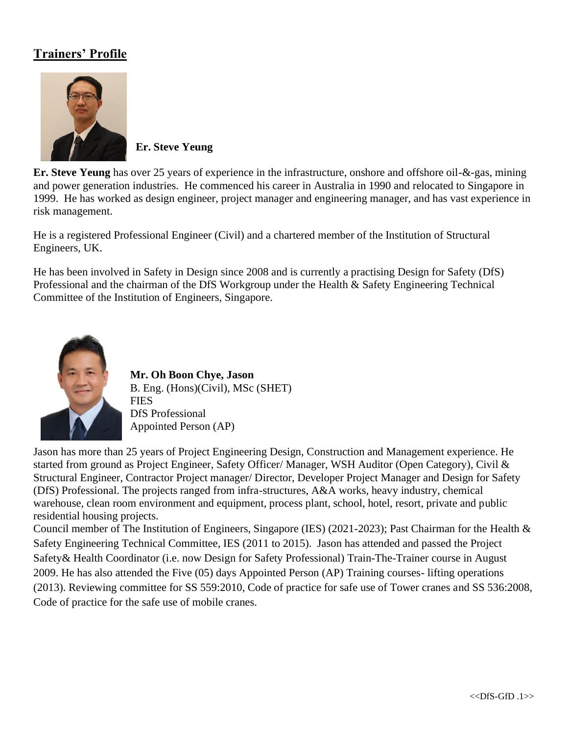# **Trainers' Profile**



**Er. Steve Yeung**

**Er. Steve Yeung** has over 25 years of experience in the infrastructure, onshore and offshore oil-&-gas, mining and power generation industries. He commenced his career in Australia in 1990 and relocated to Singapore in 1999. He has worked as design engineer, project manager and engineering manager, and has vast experience in risk management.

He is a registered Professional Engineer (Civil) and a chartered member of the Institution of Structural Engineers, UK.

He has been involved in Safety in Design since 2008 and is currently a practising Design for Safety (DfS) Professional and the chairman of the DfS Workgroup under the Health & Safety Engineering Technical Committee of the Institution of Engineers, Singapore.



**Mr. Oh Boon Chye, Jason** B. Eng. (Hons)(Civil), MSc (SHET) **FIES** DfS Professional Appointed Person (AP)

Jason has more than 25 years of Project Engineering Design, Construction and Management experience. He started from ground as Project Engineer, Safety Officer/ Manager, WSH Auditor (Open Category), Civil & Structural Engineer, Contractor Project manager/ Director, Developer Project Manager and Design for Safety (DfS) Professional. The projects ranged from infra-structures, A&A works, heavy industry, chemical warehouse, clean room environment and equipment, process plant, school, hotel, resort, private and public residential housing projects.

Council member of The Institution of Engineers, Singapore (IES) (2021-2023); Past Chairman for the Health & Safety Engineering Technical Committee, IES (2011 to 2015). Jason has attended and passed the Project Safety& Health Coordinator (i.e. now Design for Safety Professional) Train-The-Trainer course in August 2009. He has also attended the Five (05) days Appointed Person (AP) Training courses- lifting operations (2013). Reviewing committee for SS 559:2010, Code of practice for safe use of Tower cranes and SS 536:2008, Code of practice for the safe use of mobile cranes.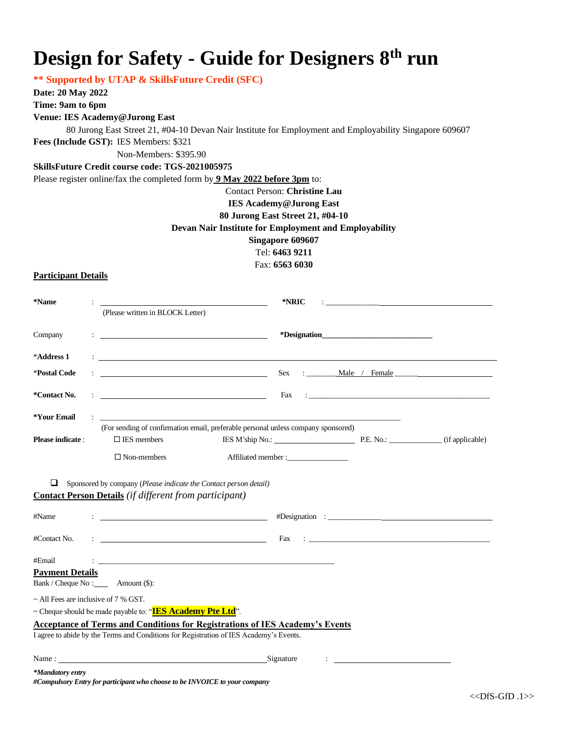# **Design for Safety - Guide for Designers 8 th run**

**\*\* Supported by UTAP & SkillsFuture Credit (SFC)**

**Date: 20 May 2022**

**Time: 9am to 6pm**

### **Venue: IES Academy@Jurong East**

80 Jurong East Street 21, #04-10 Devan Nair Institute for Employment and Employability Singapore 609607 **Fees (Include GST):** IES Members: \$321

Non-Members: \$395.90

#### **SkillsFuture Credit course code: TGS-2021005975**

Please register online/fax the completed form by **9 May 2022 before 3pm** to:

## Contact Person: **Christine Lau IES Academy@Jurong East 80 Jurong East Street 21, #04-10 Devan Nair Institute for Employment and Employability Singapore 609607**

Tel: **6463 9211**

Fax: **6563 6030**

### **Participant Details**

| *Name                                                                                                                                  |  |                                                                                                                                                                                                                                                                                                                                                     | *NRIC                                                                                                                                                                                                                                | <u> 1980 - Jan Samuel Barbara, martin a shekara 1980 - An tsara 1980 - An tsara 1980 - An tsara 1980 - An tsara 1</u> |
|----------------------------------------------------------------------------------------------------------------------------------------|--|-----------------------------------------------------------------------------------------------------------------------------------------------------------------------------------------------------------------------------------------------------------------------------------------------------------------------------------------------------|--------------------------------------------------------------------------------------------------------------------------------------------------------------------------------------------------------------------------------------|-----------------------------------------------------------------------------------------------------------------------|
|                                                                                                                                        |  | (Please written in BLOCK Letter)                                                                                                                                                                                                                                                                                                                    |                                                                                                                                                                                                                                      |                                                                                                                       |
| Company                                                                                                                                |  | <u> 1986 - Andrea Stadt Britain, amerikansk politiker (</u>                                                                                                                                                                                                                                                                                         |                                                                                                                                                                                                                                      |                                                                                                                       |
| *Address 1                                                                                                                             |  |                                                                                                                                                                                                                                                                                                                                                     | <u>state and the state of the state of the state of the state of the state of the state of the state of the state of the state of the state of the state of the state of the state of the state of the state of the state of the</u> |                                                                                                                       |
| *Postal Code                                                                                                                           |  |                                                                                                                                                                                                                                                                                                                                                     |                                                                                                                                                                                                                                      | Sex : <u>Male / Female</u>                                                                                            |
| *Contact No.                                                                                                                           |  | $\mathbf{F}=\frac{\mathbf{F}^T\mathbf{F}^T\mathbf{F}^T\mathbf{F}^T\mathbf{F}^T\mathbf{F}^T\mathbf{F}^T\mathbf{F}^T\mathbf{F}^T\mathbf{F}^T\mathbf{F}^T\mathbf{F}^T\mathbf{F}^T\mathbf{F}^T\mathbf{F}^T\mathbf{F}^T\mathbf{F}^T\mathbf{F}^T\mathbf{F}^T\mathbf{F}^T\mathbf{F}^T\mathbf{F}^T\mathbf{F}^T\mathbf{F}^T\mathbf{F}^T\mathbf{F}^T\mathbf{$ |                                                                                                                                                                                                                                      |                                                                                                                       |
| *Your Email                                                                                                                            |  |                                                                                                                                                                                                                                                                                                                                                     |                                                                                                                                                                                                                                      |                                                                                                                       |
|                                                                                                                                        |  |                                                                                                                                                                                                                                                                                                                                                     | (For sending of confirmation email, preferable personal unless company sponsored)                                                                                                                                                    |                                                                                                                       |
| <b>Please indicate:</b>                                                                                                                |  | $\square$ IES members                                                                                                                                                                                                                                                                                                                               | IES M'ship No.: P.E. No.: (if applicable)                                                                                                                                                                                            |                                                                                                                       |
|                                                                                                                                        |  | $\Box$ Non-members                                                                                                                                                                                                                                                                                                                                  | Affiliated member:                                                                                                                                                                                                                   |                                                                                                                       |
| ⊔<br>Sponsored by company (Please indicate the Contact person detail)<br><b>Contact Person Details</b> (if different from participant) |  |                                                                                                                                                                                                                                                                                                                                                     |                                                                                                                                                                                                                                      |                                                                                                                       |
| #Name                                                                                                                                  |  |                                                                                                                                                                                                                                                                                                                                                     |                                                                                                                                                                                                                                      |                                                                                                                       |
| #Contact No.                                                                                                                           |  |                                                                                                                                                                                                                                                                                                                                                     | Fax                                                                                                                                                                                                                                  |                                                                                                                       |

#Email : \_\_\_\_\_\_\_\_\_\_\_\_\_\_\_\_\_\_\_\_\_\_\_\_\_\_\_\_\_\_\_\_\_\_\_\_\_\_\_\_\_\_\_\_\_\_\_\_\_\_\_\_\_\_\_\_\_\_\_\_\_\_

**Payment Details** 

Bank / Cheque No : \_\_\_\_\_ Amount (\$):

~ All Fees are inclusive of 7 % GST.

## ~ Cheque should be made payable to: "**IES Academy Pte Ltd**".

## **Acceptance of Terms and Conditions for Registrations of IES Academy's Events**

I agree to abide by the Terms and Conditions for Registration of IES Academy's Events.

Name : Signature : Signature : Signature : Signature : Signature : Signature : Signature : Signature : Signature : Signature : Signature : Signature : Signature : Signature : Signature : Signature : Signature : Signature :

*#Compulsory Entry for participant who choose to be INVOICE to your company*